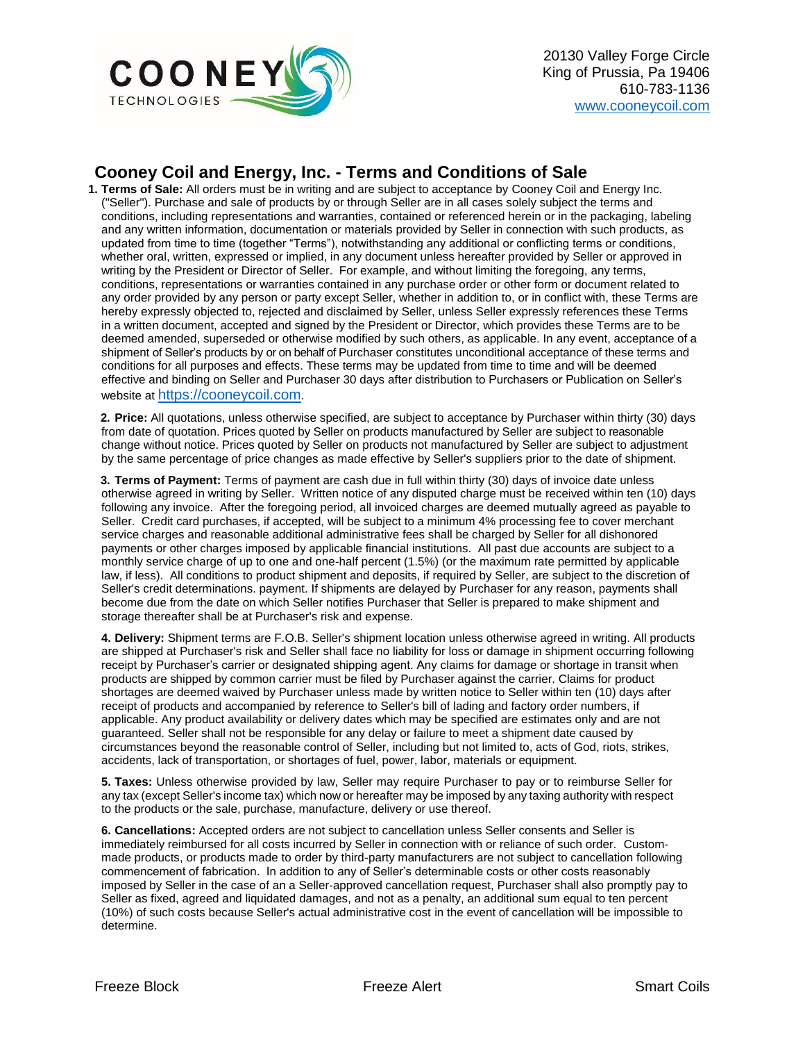

## **Cooney Coil and Energy, Inc. - Terms and Conditions of Sale**

**1. Terms of Sale:** All orders must be in writing and are subject to acceptance by Cooney Coil and Energy Inc. ("Seller"). Purchase and sale of products by or through Seller are in all cases solely subject the terms and conditions, including representations and warranties, contained or referenced herein or in the packaging, labeling and any written information, documentation or materials provided by Seller in connection with such products, as updated from time to time (together "Terms"), notwithstanding any additional or conflicting terms or conditions, whether oral, written, expressed or implied, in any document unless hereafter provided by Seller or approved in writing by the President or Director of Seller. For example, and without limiting the foregoing, any terms, conditions, representations or warranties contained in any purchase order or other form or document related to any order provided by any person or party except Seller, whether in addition to, or in conflict with, these Terms are hereby expressly objected to, rejected and disclaimed by Seller, unless Seller expressly references these Terms in a written document, accepted and signed by the President or Director, which provides these Terms are to be deemed amended, superseded or otherwise modified by such others, as applicable. In any event, acceptance of a shipment of Seller's products by or on behalf of Purchaser constitutes unconditional acceptance of these terms and conditions for all purposes and effects. These terms may be updated from time to time and will be deemed effective and binding on Seller and Purchaser 30 days after distribution to Purchasers or Publication on Seller's website at [https://cooneycoil.com](https://cooneycoil.com/).

**2. Price:** All quotations, unless otherwise specified, are subject to acceptance by Purchaser within thirty (30) days from date of quotation. Prices quoted by Seller on products manufactured by Seller are subject to reasonable change without notice. Prices quoted by Seller on products not manufactured by Seller are subject to adjustment by the same percentage of price changes as made effective by Seller's suppliers prior to the date of shipment.

**3. Terms of Payment:** Terms of payment are cash due in full within thirty (30) days of invoice date unless otherwise agreed in writing by Seller. Written notice of any disputed charge must be received within ten (10) days following any invoice. After the foregoing period, all invoiced charges are deemed mutually agreed as payable to Seller. Credit card purchases, if accepted, will be subject to a minimum 4% processing fee to cover merchant service charges and reasonable additional administrative fees shall be charged by Seller for all dishonored payments or other charges imposed by applicable financial institutions. All past due accounts are subject to a monthly service charge of up to one and one-half percent (1.5%) (or the maximum rate permitted by applicable law, if less). All conditions to product shipment and deposits, if required by Seller, are subject to the discretion of Seller's credit determinations. payment. If shipments are delayed by Purchaser for any reason, payments shall become due from the date on which Seller notifies Purchaser that Seller is prepared to make shipment and storage thereafter shall be at Purchaser's risk and expense.

**4. Delivery:** Shipment terms are F.O.B. Seller's shipment location unless otherwise agreed in writing. All products are shipped at Purchaser's risk and Seller shall face no liability for loss or damage in shipment occurring following receipt by Purchaser's carrier or designated shipping agent. Any claims for damage or shortage in transit when products are shipped by common carrier must be filed by Purchaser against the carrier. Claims for product shortages are deemed waived by Purchaser unless made by written notice to Seller within ten (10) days after receipt of products and accompanied by reference to Seller's bill of lading and factory order numbers, if applicable. Any product availability or delivery dates which may be specified are estimates only and are not guaranteed. Seller shall not be responsible for any delay or failure to meet a shipment date caused by circumstances beyond the reasonable control of Seller, including but not limited to, acts of God, riots, strikes, accidents, lack of transportation, or shortages of fuel, power, labor, materials or equipment.

**5. Taxes:** Unless otherwise provided by law, Seller may require Purchaser to pay or to reimburse Seller for any tax (except Seller's income tax) which now or hereafter may be imposed by any taxing authority with respect to the products or the sale, purchase, manufacture, delivery or use thereof.

**6. Cancellations:** Accepted orders are not subject to cancellation unless Seller consents and Seller is immediately reimbursed for all costs incurred by Seller in connection with or reliance of such order. Custommade products, or products made to order by third-party manufacturers are not subject to cancellation following commencement of fabrication. In addition to any of Seller's determinable costs or other costs reasonably imposed by Seller in the case of an a Seller-approved cancellation request, Purchaser shall also promptly pay to Seller as fixed, agreed and liquidated damages, and not as a penalty, an additional sum equal to ten percent (10%) of such costs because Seller's actual administrative cost in the event of cancellation will be impossible to determine.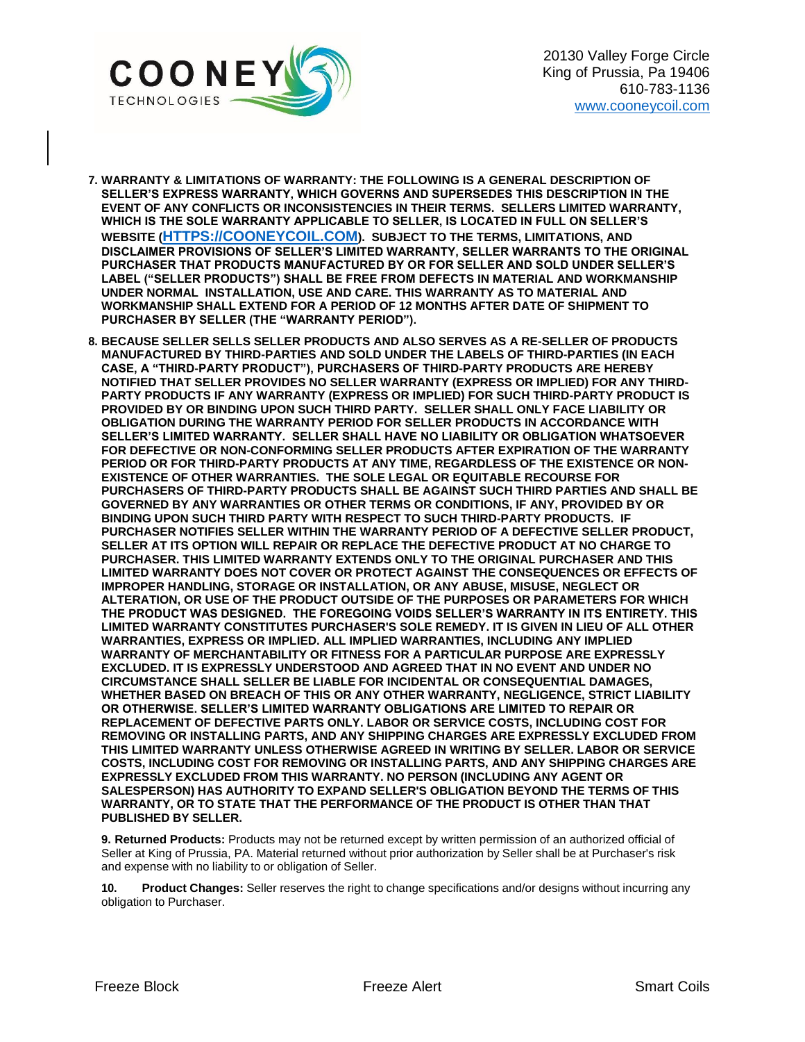

- **7. WARRANTY & LIMITATIONS OF WARRANTY: THE FOLLOWING IS A GENERAL DESCRIPTION OF SELLER'S EXPRESS WARRANTY, WHICH GOVERNS AND SUPERSEDES THIS DESCRIPTION IN THE EVENT OF ANY CONFLICTS OR INCONSISTENCIES IN THEIR TERMS. SELLERS LIMITED WARRANTY, WHICH IS THE SOLE WARRANTY APPLICABLE TO SELLER, IS LOCATED IN FULL ON SELLER'S WEBSITE ([HTTPS://COONEYCOIL.COM](https://cooneycoil.com/)). SUBJECT TO THE TERMS, LIMITATIONS, AND DISCLAIMER PROVISIONS OF SELLER'S LIMITED WARRANTY, SELLER WARRANTS TO THE ORIGINAL PURCHASER THAT PRODUCTS MANUFACTURED BY OR FOR SELLER AND SOLD UNDER SELLER'S LABEL ("SELLER PRODUCTS") SHALL BE FREE FROM DEFECTS IN MATERIAL AND WORKMANSHIP UNDER NORMAL INSTALLATION, USE AND CARE. THIS WARRANTY AS TO MATERIAL AND WORKMANSHIP SHALL EXTEND FOR A PERIOD OF 12 MONTHS AFTER DATE OF SHIPMENT TO PURCHASER BY SELLER (THE "WARRANTY PERIOD").**
- **8. BECAUSE SELLER SELLS SELLER PRODUCTS AND ALSO SERVES AS A RE-SELLER OF PRODUCTS MANUFACTURED BY THIRD-PARTIES AND SOLD UNDER THE LABELS OF THIRD-PARTIES (IN EACH CASE, A "THIRD-PARTY PRODUCT"), PURCHASERS OF THIRD-PARTY PRODUCTS ARE HEREBY NOTIFIED THAT SELLER PROVIDES NO SELLER WARRANTY (EXPRESS OR IMPLIED) FOR ANY THIRD-PARTY PRODUCTS IF ANY WARRANTY (EXPRESS OR IMPLIED) FOR SUCH THIRD-PARTY PRODUCT IS PROVIDED BY OR BINDING UPON SUCH THIRD PARTY. SELLER SHALL ONLY FACE LIABILITY OR OBLIGATION DURING THE WARRANTY PERIOD FOR SELLER PRODUCTS IN ACCORDANCE WITH SELLER'S LIMITED WARRANTY. SELLER SHALL HAVE NO LIABILITY OR OBLIGATION WHATSOEVER FOR DEFECTIVE OR NON-CONFORMING SELLER PRODUCTS AFTER EXPIRATION OF THE WARRANTY PERIOD OR FOR THIRD-PARTY PRODUCTS AT ANY TIME, REGARDLESS OF THE EXISTENCE OR NON-EXISTENCE OF OTHER WARRANTIES. THE SOLE LEGAL OR EQUITABLE RECOURSE FOR PURCHASERS OF THIRD-PARTY PRODUCTS SHALL BE AGAINST SUCH THIRD PARTIES AND SHALL BE GOVERNED BY ANY WARRANTIES OR OTHER TERMS OR CONDITIONS, IF ANY, PROVIDED BY OR BINDING UPON SUCH THIRD PARTY WITH RESPECT TO SUCH THIRD-PARTY PRODUCTS. IF PURCHASER NOTIFIES SELLER WITHIN THE WARRANTY PERIOD OF A DEFECTIVE SELLER PRODUCT, SELLER AT ITS OPTION WILL REPAIR OR REPLACE THE DEFECTIVE PRODUCT AT NO CHARGE TO PURCHASER. THIS LIMITED WARRANTY EXTENDS ONLY TO THE ORIGINAL PURCHASER AND THIS LIMITED WARRANTY DOES NOT COVER OR PROTECT AGAINST THE CONSEQUENCES OR EFFECTS OF IMPROPER HANDLING, STORAGE OR INSTALLATION, OR ANY ABUSE, MISUSE, NEGLECT OR ALTERATION, OR USE OF THE PRODUCT OUTSIDE OF THE PURPOSES OR PARAMETERS FOR WHICH THE PRODUCT WAS DESIGNED. THE FOREGOING VOIDS SELLER'S WARRANTY IN ITS ENTIRETY. THIS LIMITED WARRANTY CONSTITUTES PURCHASER'S SOLE REMEDY. IT IS GIVEN IN LIEU OF ALL OTHER WARRANTIES, EXPRESS OR IMPLIED. ALL IMPLIED WARRANTIES, INCLUDING ANY IMPLIED WARRANTY OF MERCHANTABILITY OR FITNESS FOR A PARTICULAR PURPOSE ARE EXPRESSLY EXCLUDED. IT IS EXPRESSLY UNDERSTOOD AND AGREED THAT IN NO EVENT AND UNDER NO CIRCUMSTANCE SHALL SELLER BE LIABLE FOR INCIDENTAL OR CONSEQUENTIAL DAMAGES, WHETHER BASED ON BREACH OF THIS OR ANY OTHER WARRANTY, NEGLIGENCE, STRICT LIABILITY OR OTHERWISE. SELLER'S LIMITED WARRANTY OBLIGATIONS ARE LIMITED TO REPAIR OR REPLACEMENT OF DEFECTIVE PARTS ONLY. LABOR OR SERVICE COSTS, INCLUDING COST FOR REMOVING OR INSTALLING PARTS, AND ANY SHIPPING CHARGES ARE EXPRESSLY EXCLUDED FROM THIS LIMITED WARRANTY UNLESS OTHERWISE AGREED IN WRITING BY SELLER. LABOR OR SERVICE COSTS, INCLUDING COST FOR REMOVING OR INSTALLING PARTS, AND ANY SHIPPING CHARGES ARE EXPRESSLY EXCLUDED FROM THIS WARRANTY. NO PERSON (INCLUDING ANY AGENT OR SALESPERSON) HAS AUTHORITY TO EXPAND SELLER'S OBLIGATION BEYOND THE TERMS OF THIS WARRANTY, OR TO STATE THAT THE PERFORMANCE OF THE PRODUCT IS OTHER THAN THAT PUBLISHED BY SELLER.**

**9. Returned Products:** Products may not be returned except by written permission of an authorized official of Seller at King of Prussia, PA. Material returned without prior authorization by Seller shall be at Purchaser's risk and expense with no liability to or obligation of Seller.

**10. Product Changes:** Seller reserves the right to change specifications and/or designs without incurring any obligation to Purchaser.